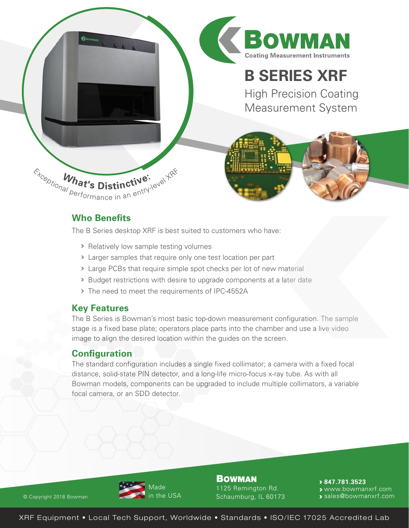

# **Who Benefits**

The B Series desktop XRF is best suited to customers who have:

- Relatively low sample testing volumes
- Larger samples that require only one test location per part
- Large PCBs that require simple spot checks per lot of new material
- **Budget restrictions with desire to upgrade components at a later date**
- The need to meet the requirements of IPC-4552A

# **Key Features**

The B Series is Bowman's most basic top-down measurement configuration. The sample stage is a fixed base plate; operators place parts into the chamber and use a live video image to align the desired location within the guides on the screen.

# **Configuration**

The standard configuration includes a single fixed collimator; a camera with a fixed focal distance, solid-state PIN detector, and a long-life micro-focus x-ray tube. As with all Bowman models, components can be upgraded to include multiple collimators, a variable focal camera, or an SDD detector.



**BOWMAN** 1125 Remington Rd. Schaumburg, IL 60173

**847.781.3523**  www.bowmanxrf.com

**s** sales@bowmanxrf.com

XRF Equipment • Local Tech Support, Worldwide • Standards • ISO/IEC 17025 Accredited Lab